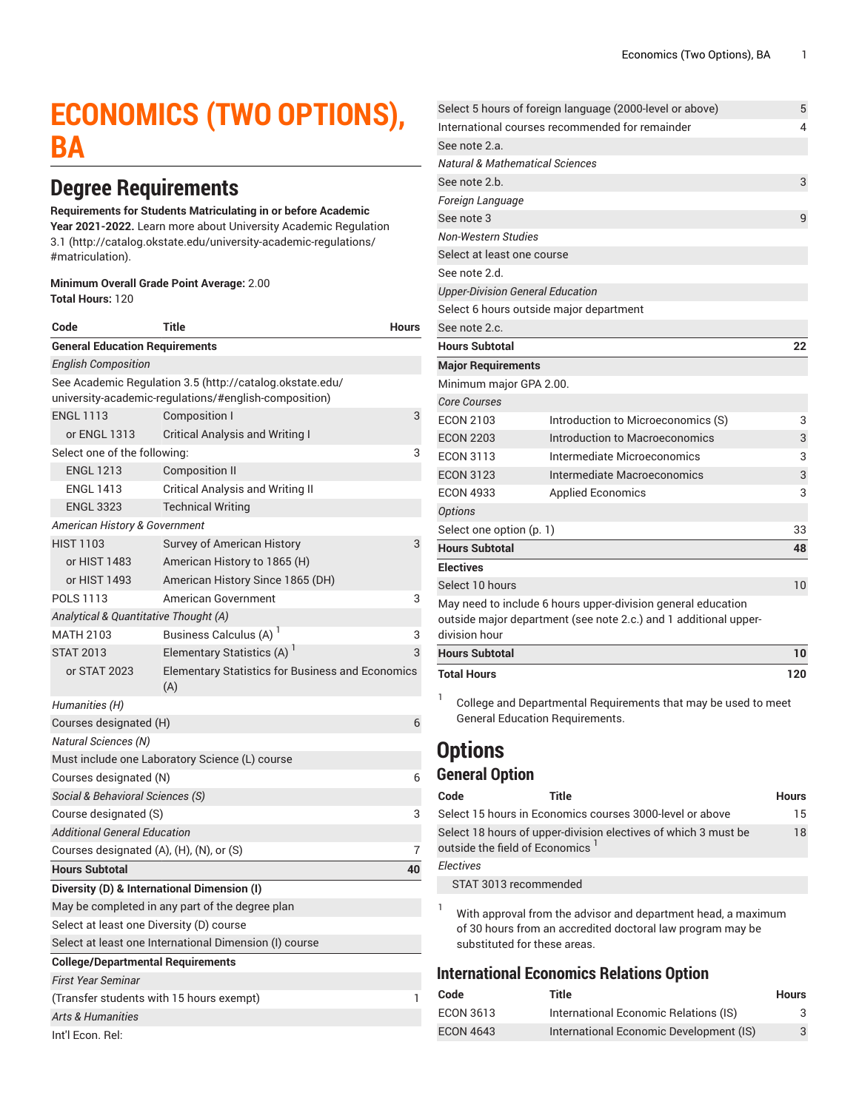# **ECONOMICS (TWO OPTIONS), BA**

# **Degree Requirements**

#### **Requirements for Students Matriculating in or before Academic**

**Year 2021-2022.** Learn more about University Academic [Regulation](http://catalog.okstate.edu/university-academic-regulations/#matriculation) [3.1](http://catalog.okstate.edu/university-academic-regulations/#matriculation) ([http://catalog.okstate.edu/university-academic-regulations/](http://catalog.okstate.edu/university-academic-regulations/#matriculation) [#matriculation\)](http://catalog.okstate.edu/university-academic-regulations/#matriculation).

#### **Minimum Overall Grade Point Average:** 2.00 **Total Hours:** 120

| Code                                        | Title                                                                                                             | <b>Hours</b> |
|---------------------------------------------|-------------------------------------------------------------------------------------------------------------------|--------------|
| <b>General Education Requirements</b>       |                                                                                                                   |              |
| <b>English Composition</b>                  |                                                                                                                   |              |
|                                             | See Academic Regulation 3.5 (http://catalog.okstate.edu/<br>university-academic-regulations/#english-composition) |              |
| <b>ENGL 1113</b>                            | <b>Composition I</b>                                                                                              | 3            |
| or ENGL 1313                                | Critical Analysis and Writing I                                                                                   |              |
| Select one of the following:                |                                                                                                                   | 3            |
| <b>ENGL 1213</b>                            | <b>Composition II</b>                                                                                             |              |
| <b>ENGL 1413</b>                            | Critical Analysis and Writing II                                                                                  |              |
| <b>ENGL 3323</b>                            | <b>Technical Writing</b>                                                                                          |              |
| American History & Government               |                                                                                                                   |              |
| <b>HIST 1103</b>                            | Survey of American History                                                                                        | 3            |
| or HIST 1483                                | American History to 1865 (H)                                                                                      |              |
| or HIST 1493                                | American History Since 1865 (DH)                                                                                  |              |
| POLS 1113                                   | American Government                                                                                               | 3            |
| Analytical & Quantitative Thought (A)       |                                                                                                                   |              |
| <b>MATH 2103</b>                            | Business Calculus (A) <sup>1</sup>                                                                                | 3            |
| <b>STAT 2013</b>                            | Elementary Statistics (A) '                                                                                       | 3            |
| or STAT 2023                                | <b>Elementary Statistics for Business and Economics</b><br>(A)                                                    |              |
| Humanities (H)                              |                                                                                                                   |              |
| Courses designated (H)                      |                                                                                                                   | 6            |
| <b>Natural Sciences (N)</b>                 |                                                                                                                   |              |
|                                             | Must include one Laboratory Science (L) course                                                                    |              |
| Courses designated (N)<br>6                 |                                                                                                                   |              |
| Social & Behavioral Sciences (S)            |                                                                                                                   |              |
| Course designated (S)                       |                                                                                                                   | 3            |
| Additional General Education                |                                                                                                                   |              |
| Courses designated (A), (H), (N), or (S)    |                                                                                                                   | 7            |
| <b>Hours Subtotal</b>                       |                                                                                                                   | 40           |
| Diversity (D) & International Dimension (I) |                                                                                                                   |              |
|                                             | May be completed in any part of the degree plan                                                                   |              |
| Select at least one Diversity (D) course    |                                                                                                                   |              |
|                                             | Select at least one International Dimension (I) course                                                            |              |
| <b>College/Departmental Requirements</b>    |                                                                                                                   |              |
| <b>First Year Seminar</b>                   |                                                                                                                   |              |
| (Transfer students with 15 hours exempt)    |                                                                                                                   | 1            |
| <b>Arts &amp; Humanities</b>                |                                                                                                                   |              |
| Int'l Econ. Rel:                            |                                                                                                                   |              |

|                                             | Select 5 hours of foreign language (2000-level or above)                                                                         | 5   |
|---------------------------------------------|----------------------------------------------------------------------------------------------------------------------------------|-----|
|                                             | International courses recommended for remainder                                                                                  | 4   |
| See note 2.a.                               |                                                                                                                                  |     |
| <b>Natural &amp; Mathematical Sciences</b>  |                                                                                                                                  |     |
| See note 2.b.                               |                                                                                                                                  | 3   |
| Foreign Language                            |                                                                                                                                  |     |
| See note 3                                  |                                                                                                                                  | 9   |
| <b>Non-Western Studies</b>                  |                                                                                                                                  |     |
| Select at least one course                  |                                                                                                                                  |     |
| See note 2.d.                               |                                                                                                                                  |     |
| <b>Upper-Division General Education</b>     |                                                                                                                                  |     |
| Select 6 hours outside major department     |                                                                                                                                  |     |
| See note 2.c.                               |                                                                                                                                  |     |
| <b>Hours Subtotal</b>                       |                                                                                                                                  | 22  |
| <b>Major Requirements</b>                   |                                                                                                                                  |     |
| Minimum major GPA 2.00.                     |                                                                                                                                  |     |
| <b>Core Courses</b>                         |                                                                                                                                  |     |
| <b>ECON 2103</b>                            | Introduction to Microeconomics (S)                                                                                               | 3   |
| <b>ECON 2203</b>                            | Introduction to Macroeconomics                                                                                                   | 3   |
| <b>ECON 3113</b>                            | Intermediate Microeconomics                                                                                                      | 3   |
| <b>ECON 3123</b>                            | Intermediate Macroeconomics                                                                                                      | 3   |
| <b>ECON 4933</b>                            | <b>Applied Economics</b>                                                                                                         | 3   |
| <b>Options</b>                              |                                                                                                                                  |     |
| Select one option (p. 1)                    |                                                                                                                                  | 33  |
| <b>Hours Subtotal</b>                       |                                                                                                                                  | 48  |
| <b>Electives</b>                            |                                                                                                                                  |     |
| Select 10 hours                             |                                                                                                                                  | 10  |
|                                             | May need to include 6 hours upper-division general education<br>outside major department (see note 2.c.) and 1 additional upper- |     |
| division hour                               |                                                                                                                                  |     |
| <b>Hours Subtotal</b>                       |                                                                                                                                  | 10  |
| <b>Total Hours</b>                          |                                                                                                                                  | 120 |
| 1<br><b>General Education Requirements.</b> | College and Departmental Requirements that may be used to meet                                                                   |     |

### <span id="page-0-0"></span>**Options**

#### **General Option**

| Code      | Title                                       |                                                                | <b>Hours</b> |
|-----------|---------------------------------------------|----------------------------------------------------------------|--------------|
|           |                                             | Select 15 hours in Economics courses 3000-level or above       | 15           |
|           | outside the field of Economics <sup>1</sup> | Select 18 hours of upper-division electives of which 3 must be | 18           |
| Electives |                                             |                                                                |              |
|           | STAT 3013 recommended                       |                                                                |              |
|           |                                             |                                                                |              |

<sup>1</sup> With approval from the advisor and department head, a maximum of 30 hours from an accredited doctoral law program may be substituted for these areas.

### **International Economics Relations Option**

| Code             | Title                                   | <b>Hours</b> |
|------------------|-----------------------------------------|--------------|
| <b>ECON 3613</b> | International Economic Relations (IS)   | 3            |
| <b>ECON 4643</b> | International Economic Development (IS) | 3            |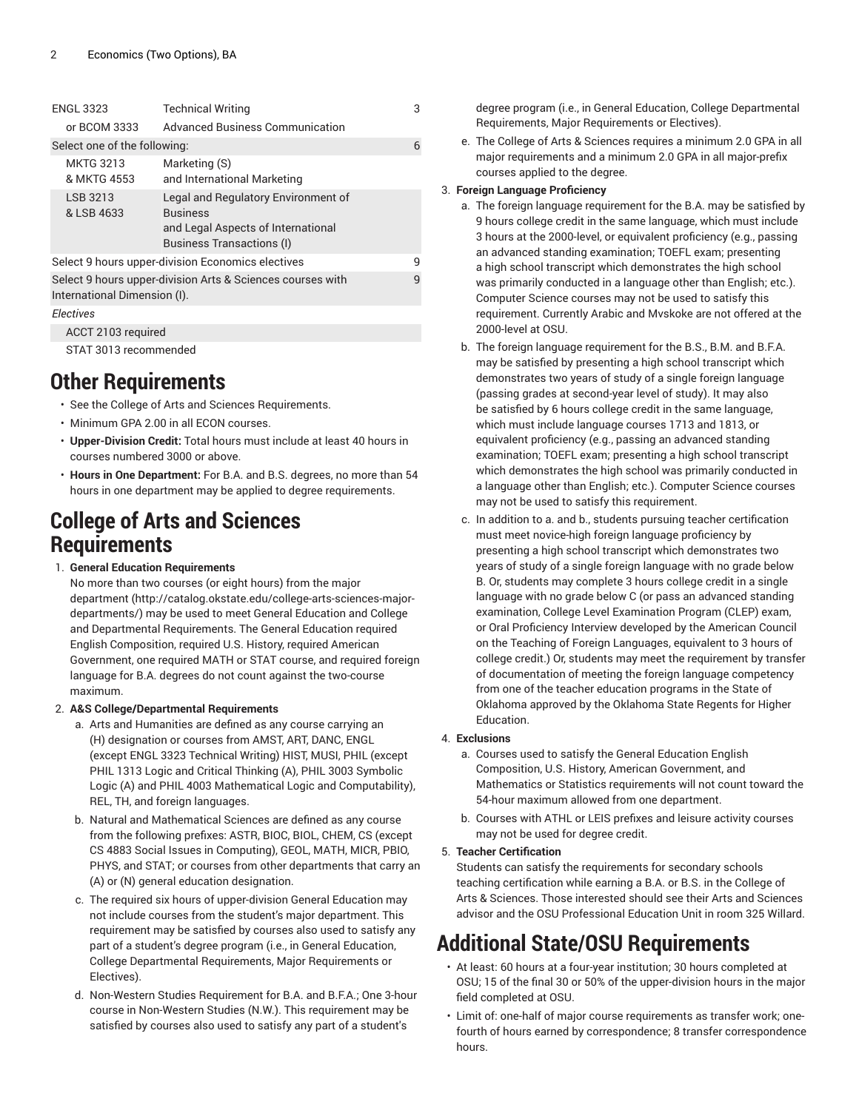| <b>ENGL 3323</b>                                                                           | <b>Technical Writing</b>                                                                                                         | 3            |
|--------------------------------------------------------------------------------------------|----------------------------------------------------------------------------------------------------------------------------------|--------------|
| or BCOM 3333                                                                               | <b>Advanced Business Communication</b>                                                                                           |              |
| Select one of the following:                                                               |                                                                                                                                  | 6            |
| <b>MKTG 3213</b><br>& MKTG 4553                                                            | Marketing (S)<br>and International Marketing                                                                                     |              |
| LSB 3213<br>& LSB 4633                                                                     | Legal and Regulatory Environment of<br><b>Business</b><br>and Legal Aspects of International<br><b>Business Transactions (I)</b> |              |
|                                                                                            | Select 9 hours upper-division Economics electives                                                                                | 9            |
| Select 9 hours upper-division Arts & Sciences courses with<br>International Dimension (I). |                                                                                                                                  | $\mathsf{q}$ |
| Electives                                                                                  |                                                                                                                                  |              |
| ACCT 2103 required                                                                         |                                                                                                                                  |              |
| STAT 3013 recommended                                                                      |                                                                                                                                  |              |

### **Other Requirements**

- See the College of Arts and Sciences Requirements.
- Minimum GPA 2.00 in all ECON courses.
- **Upper-Division Credit:** Total hours must include at least 40 hours in courses numbered 3000 or above.
- **Hours in One Department:** For B.A. and B.S. degrees, no more than 54 hours in one department may be applied to degree requirements.

### **College of Arts and Sciences Requirements**

1. **General Education Requirements**

No more than two courses (or eight hours) from [the major](http://catalog.okstate.edu/college-arts-sciences-major-departments/) [department \(http://catalog.okstate.edu/college-arts-sciences-major](http://catalog.okstate.edu/college-arts-sciences-major-departments/)[departments/](http://catalog.okstate.edu/college-arts-sciences-major-departments/)) may be used to meet General Education and College and Departmental Requirements. The General Education required English Composition, required U.S. History, required American Government, one required MATH or STAT course, and required foreign language for B.A. degrees do not count against the two-course maximum.

- 2. **A&S College/Departmental Requirements**
	- a. Arts and Humanities are defined as any course carrying an (H) designation or courses from AMST, ART, DANC, ENGL (except ENGL 3323 Technical Writing) HIST, MUSI, PHIL (except PHIL 1313 Logic and Critical Thinking (A), PHIL 3003 Symbolic Logic (A) and PHIL 4003 Mathematical Logic and Computability), REL, TH, and foreign languages.
	- b. Natural and Mathematical Sciences are defined as any course from the following prefixes: ASTR, BIOC, BIOL, CHEM, CS (except CS 4883 Social Issues in Computing), GEOL, MATH, MICR, PBIO, PHYS, and STAT; or courses from other departments that carry an (A) or (N) general education designation.
	- c. The required six hours of upper-division General Education may not include courses from the student's major department. This requirement may be satisfied by courses also used to satisfy any part of a student's degree program (i.e., in General Education, College Departmental Requirements, Major Requirements or Electives).
	- d. Non-Western Studies Requirement for B.A. and B.F.A.; One 3-hour course in Non-Western Studies (N.W.). This requirement may be satisfied by courses also used to satisfy any part of a student's

degree program (i.e., in General Education, College Departmental Requirements, Major Requirements or Electives).

e. The College of Arts & Sciences requires a minimum 2.0 GPA in all major requirements and a minimum 2.0 GPA in all major-prefix courses applied to the degree.

#### 3. **Foreign Language Proficiency**

- a. The foreign language requirement for the B.A. may be satisfied by 9 hours college credit in the same language, which must include 3 hours at the 2000-level, or equivalent proficiency (e.g., passing an advanced standing examination; TOEFL exam; presenting a high school transcript which demonstrates the high school was primarily conducted in a language other than English; etc.). Computer Science courses may not be used to satisfy this requirement. Currently Arabic and Mvskoke are not offered at the 2000-level at OSU.
- b. The foreign language requirement for the B.S., B.M. and B.F.A. may be satisfied by presenting a high school transcript which demonstrates two years of study of a single foreign language (passing grades at second-year level of study). It may also be satisfied by 6 hours college credit in the same language, which must include language courses 1713 and 1813, or equivalent proficiency (e.g., passing an advanced standing examination; TOEFL exam; presenting a high school transcript which demonstrates the high school was primarily conducted in a language other than English; etc.). Computer Science courses may not be used to satisfy this requirement.
- c. In addition to a. and b., students pursuing teacher certification must meet novice-high foreign language proficiency by presenting a high school transcript which demonstrates two years of study of a single foreign language with no grade below B. Or, students may complete 3 hours college credit in a single language with no grade below C (or pass an advanced standing examination, College Level Examination Program (CLEP) exam, or Oral Proficiency Interview developed by the American Council on the Teaching of Foreign Languages, equivalent to 3 hours of college credit.) Or, students may meet the requirement by transfer of documentation of meeting the foreign language competency from one of the teacher education programs in the State of Oklahoma approved by the Oklahoma State Regents for Higher Education.

#### 4. **Exclusions**

- a. Courses used to satisfy the General Education English Composition, U.S. History, American Government, and Mathematics or Statistics requirements will not count toward the 54-hour maximum allowed from one department.
- b. Courses with ATHL or LEIS prefixes and leisure activity courses may not be used for degree credit.

#### 5. **Teacher Certification**

Students can satisfy the requirements for secondary schools teaching certification while earning a B.A. or B.S. in the College of Arts & Sciences. Those interested should see their Arts and Sciences advisor and the OSU Professional Education Unit in room 325 Willard.

# **Additional State/OSU Requirements**

- At least: 60 hours at a four-year institution; 30 hours completed at OSU; 15 of the final 30 or 50% of the upper-division hours in the major field completed at OSU.
- Limit of: one-half of major course requirements as transfer work; onefourth of hours earned by correspondence; 8 transfer correspondence hours.